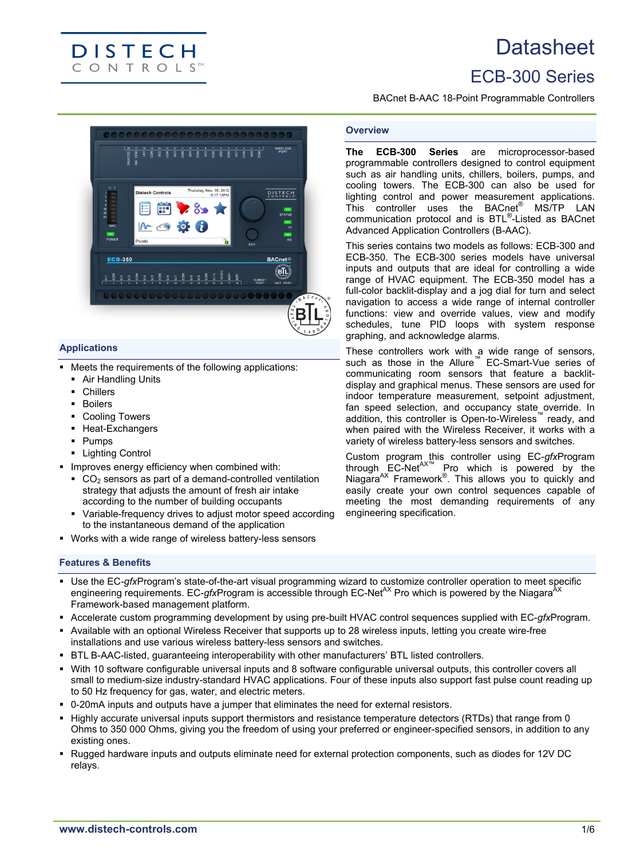# **Datasheet**

# ECB-300 Series

BACnet B-AAC 18-Point Programmable Controllers

**The ECB-300 Series** are microprocessor-based programmable controllers designed to control equipment such as air handling units, chillers, boilers, pumps, and cooling towers. The ECB-300 can also be used for lighting control and power measurement applications. This controller uses the BACnet® MS/TP LAN communication protocol and is BTL® -Listed as BACnet

This series contains two models as follows: ECB-300 and ECB-350. The ECB-300 series models have universal inputs and outputs that are ideal for controlling a wide range of HVAC equipment. The ECB-350 model has a full-color backlit-display and a jog dial for turn and select navigation to access a wide range of internal controller functions: view and override values, view and modify schedules, tune PID loops with system response

These controllers work with a wide range of sensors, such as those in the Allure<sup>™</sup> EC-Smart-Vue series of communicating room sensors that feature a backlitdisplay and graphical menus. These sensors are used for indoor temperature measurement, setpoint adjustment, fan speed selection, and occupancy state override. In addition, this controller is Open-to-Wireless™ ready, and when paired with the Wireless Receiver, it works with a variety of wireless battery-less sensors and switches. Custom program this controller using EC-*gfx*Program through  $EC-Net^{AXm}$  Pro which is powered by the Niagara<sup>AX</sup> Framework<sup>®</sup>. This allows you to quickly and easily create your own control sequences capable of meeting the most demanding requirements of any

Advanced Application Controllers (B-AAC).

graphing, and acknowledge alarms.

engineering specification.

**Overview**



# **Applications**

- Meets the requirements of the following applications:
	- **Air Handling Units**

**DISTECH CONTROLS**<sup>TM</sup>

- Chillers
- **Boilers**
- Cooling Towers
- Heat-Exchangers
- Pumps
- **-** Lighting Control
- **IMPROVES ENERGY Efficiency when combined with:** 
	- $CO<sub>2</sub>$  sensors as part of a demand-controlled ventilation strategy that adjusts the amount of fresh air intake according to the number of building occupants
	- Variable-frequency drives to adjust motor speed according to the instantaneous demand of the application
- Works with a wide range of wireless battery-less sensors

# **Features & Benefits**

- Use the EC-*gfx*Program's state-of-the-art visual programming wizard to customize controller operation to meet specific engineering requirements. EC-*gfx*Program is accessible through EC-Net<sup>AX</sup> Pro which is powered by the Niagara<sup>2</sup> Framework-based management platform.
- Accelerate custom programming development by using pre-built HVAC control sequences supplied with EC-*gfx*Program.
- Available with an optional Wireless Receiver that supports up to 28 wireless inputs, letting you create wire-free installations and use various wireless battery-less sensors and switches.
- BTL B-AAC-listed, guaranteeing interoperability with other manufacturers' BTL listed controllers.
- With 10 software configurable universal inputs and 8 software configurable universal outputs, this controller covers all small to medium-size industry-standard HVAC applications. Four of these inputs also support fast pulse count reading up to 50 Hz frequency for gas, water, and electric meters.
- 0-20mA inputs and outputs have a jumper that eliminates the need for external resistors.
- Highly accurate universal inputs support thermistors and resistance temperature detectors (RTDs) that range from 0 Ohms to 350 000 Ohms, giving you the freedom of using your preferred or engineer-specified sensors, in addition to any existing ones.
- Rugged hardware inputs and outputs eliminate need for external protection components, such as diodes for 12V DC relays.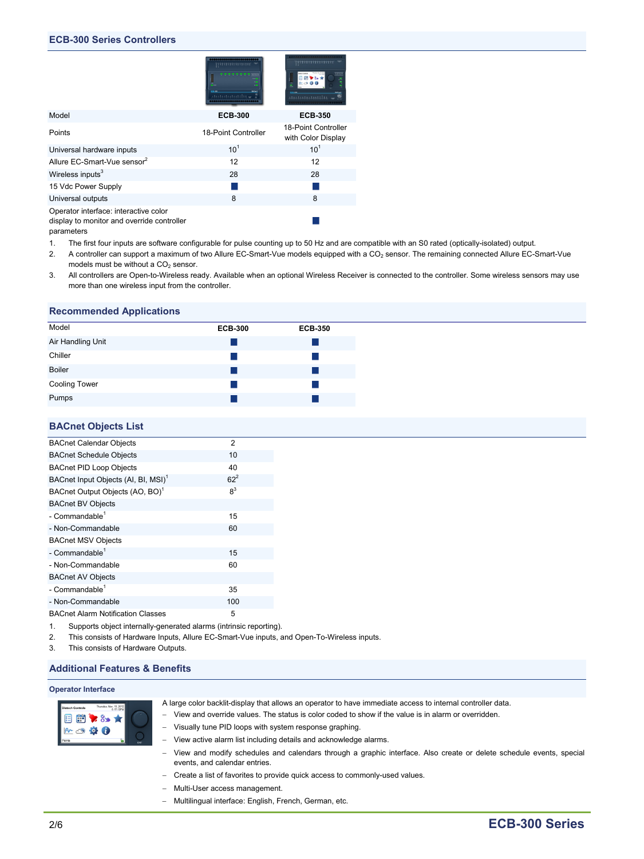|                                                                                                   | cce-on<br><b>MOM</b> | .                                         |
|---------------------------------------------------------------------------------------------------|----------------------|-------------------------------------------|
| Model                                                                                             | <b>ECB-300</b>       | <b>ECB-350</b>                            |
| Points                                                                                            | 18-Point Controller  | 18-Point Controller<br>with Color Display |
| Universal hardware inputs                                                                         | $10^{1}$             | $10^{1}$                                  |
| Allure EC-Smart-Vue sensor <sup>2</sup>                                                           | 12                   | 12                                        |
| Wireless inputs <sup>3</sup>                                                                      | 28                   | 28                                        |
| 15 Vdc Power Supply                                                                               |                      |                                           |
| Universal outputs                                                                                 | 8                    | 8                                         |
| Operator interface: interactive color<br>display to monitor and override controller<br>parameters |                      |                                           |

- 1. The first four inputs are software configurable for pulse counting up to 50 Hz and are compatible with an S0 rated (optically-isolated) output.
- 2. A controller can support a maximum of two Allure EC-Smart-Vue models equipped with a CO<sub>2</sub> sensor. The remaining connected Allure EC-Smart-Vue models must be without a  $CO<sub>2</sub>$  sensor.
- 3. All controllers are Open-to-Wireless ready. Available when an optional Wireless Receiver is connected to the controller. Some wireless sensors may use more than one wireless input from the controller.

#### **Recommended Applications**

| Model                | <b>ECB-300</b> | <b>ECB-350</b> |
|----------------------|----------------|----------------|
| Air Handling Unit    |                |                |
| Chiller              |                |                |
| <b>Boiler</b>        |                |                |
| <b>Cooling Tower</b> |                |                |
| Pumps                |                |                |

#### **BACnet Objects List**

| <b>BACnet Calendar Objects</b>                  | 2              |
|-------------------------------------------------|----------------|
| <b>BACnet Schedule Objects</b>                  | 10             |
| <b>BACnet PID Loop Objects</b>                  | 40             |
| BACnet Input Objects (AI, BI, MSI) <sup>1</sup> | $62^2$         |
| BACnet Output Objects (AO, BO) <sup>1</sup>     | 8 <sup>3</sup> |
| <b>BACnet BV Objects</b>                        |                |
| - Commandable <sup>1</sup>                      | 15             |
| - Non-Commandable                               | 60             |
| <b>BACnet MSV Objects</b>                       |                |
| - Commandable <sup>1</sup>                      | 15             |
| - Non-Commandable                               | 60             |
| <b>BACnet AV Objects</b>                        |                |
| - Commandable <sup>1</sup>                      | 35             |
| - Non-Commandable                               | 100            |
| <b>BACnet Alarm Notification Classes</b>        | 5              |

1. Supports object internally-generated alarms (intrinsic reporting).

2. This consists of Hardware Inputs, Allure EC-Smart-Vue inputs, and Open-To-Wireless inputs.

3. This consists of Hardware Outputs.

#### **Additional Features & Benefits**

#### **Operator Interface**

| <b>Distech Controls</b> | Thursday, Nov. 15, 2012<br>6:17:13PM |  |
|-------------------------|--------------------------------------|--|
|                         |                                      |  |
|                         |                                      |  |

- A large color backlit-display that allows an operator to have immediate access to internal controller data.
- − View and override values. The status is color coded to show if the value is in alarm or overridden.
- − Visually tune PID loops with system response graphing.
- View active alarm list including details and acknowledge alarms.
- − View and modify schedules and calendars through a graphic interface. Also create or delete schedule events, special events, and calendar entries.
- − Create a list of favorites to provide quick access to commonly-used values.
- − Multi-User access management.
- − Multilingual interface: English, French, German, etc.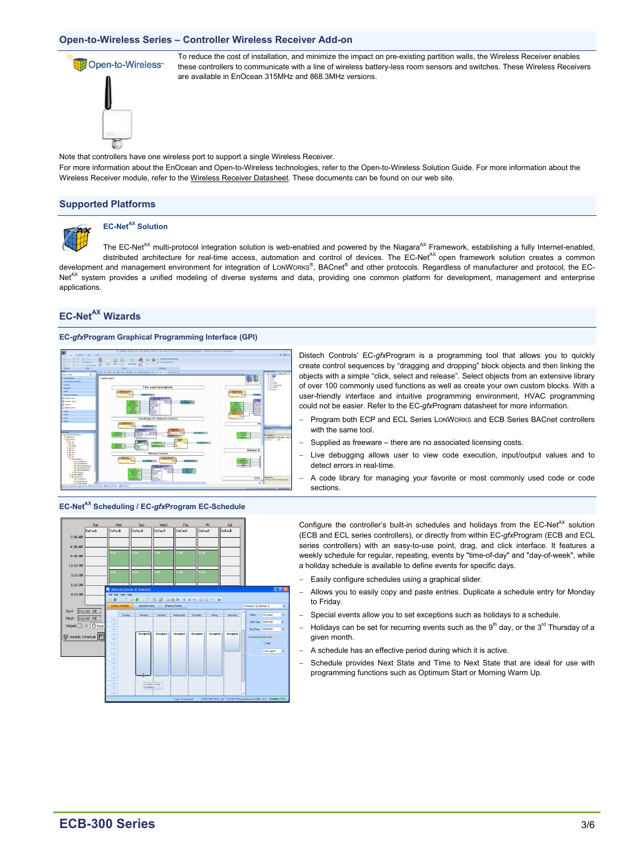#### **Open-to-Wireless Series – Controller Wireless Receiver Add-on**



To reduce the cost of installation, and minimize the impact on pre-existing partition walls, the Wireless Receiver enables these controllers to communicate with a line of wireless battery-less room sensors and switches. These Wireless Receivers are available in EnOcean 315MHz and 868.3MHz versions.

Note that controllers have one wireless port to support a single Wireless Receiver.

For more information about the EnOcean and Open-to-Wireless technologies, refer to the Open-to-Wireless Solution Guide. For more information about the Wireless Receiver module, refer to the Wireless Receiver Datasheet. These documents can be found on our web site.

#### **Supported Platforms**



# **EC-NetAX Solution**

The EC-Net<sup>AX</sup> multi-protocol integration solution is web-enabled and powered by the Niagara<sup>AX</sup> Framework, establishing a fully Internet-enabled, distributed architecture for real-time access, automation and control of devices. The EC-Net<sup>AX</sup> open framework solution creates a common development and management environment for integration of LONWORKS®, BACnet® and other protocols. Regardless of manufacturer and protocol, the EC-Net<sup>AX</sup> system provides a unified modeling of diverse systems and data, providing one common platform for development, management and enterprise applications.

# **EC-NetAX Wizards**

#### **EC-***gfx***Program Graphical Programming Interface (GPI)**





 $rac{1}{1}$ 

Distech Controls' EC-*gfx*Program is a programming tool that allows you to quickly create control sequences by "dragging and dropping" block objects and then linking the objects with a simple "click, select and release". Select objects from an extensive library of over 100 commonly used functions as well as create your own custom blocks. With a user-friendly interface and intuitive programming environment, HVAC programming could not be easier. Refer to the EC-*gfx*Program datasheet for more information.

- − Program both ECP and ECL Series LONWORKS and ECB Series BACnet controllers with the same tool.
- Supplied as freeware there are no associated licensing costs.
- Live debugging allows user to view code execution, input/output values and to detect errors in real-time.
- A code library for managing your favorite or most commonly used code or code sections.

Configure the controller's built-in schedules and holidays from the  $EC-Net^{AX}$  solution (ECB and ECL series controllers), or directly from within EC-*gfx*Program (ECB and ECL series controllers) with an easy-to-use point, drag, and click interface. It features a weekly schedule for regular, repeating, events by "time-of-day" and "day-of-week", while a holiday schedule is available to define events for specific days.

- Easily configure schedules using a graphical slider.
- − Allows you to easily copy and paste entries. Duplicate a schedule entry for Monday to Friday.
- Special events allow you to set exceptions such as holidays to a schedule.
- Holidays can be set for recurring events such as the 9<sup>th</sup> day, or the 3<sup>rd</sup> Thursday of a given month.
- A schedule has an effective period during which it is active.
- Schedule provides Next State and Time to Next State that are ideal for use with programming functions such as Optimum Start or Morning Warm Up.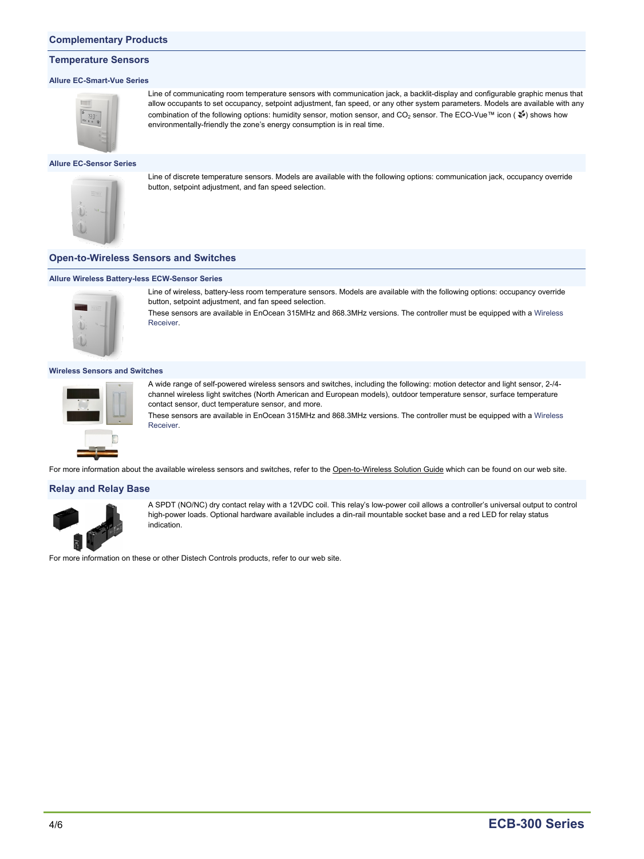#### **Complementary Products**

#### **Temperature Sensors**

#### **Allure EC-Smart-Vue Series**



Line of communicating room temperature sensors with communication jack, a backlit-display and configurable graphic menus that allow occupants to set occupancy, setpoint adjustment, fan speed, or any other system parameters. Models are available with any combination of the following options: humidity sensor, motion sensor, and CO<sub>2</sub> sensor. The ECO-Vue™ icon (  $\frac{2}{3}$ ) shows how environmentally-friendly the zone's energy consumption is in real time.

#### **Allure EC-Sensor Series**



Line of discrete temperature sensors. Models are available with the following options: communication jack, occupancy override button, setpoint adjustment, and fan speed selection.

#### **Open-to-Wireless Sensors and Switches**

## **Allure Wireless Battery-less ECW-Sensor Series**



Line of wireless, battery-less room temperature sensors. Models are available with the following options: occupancy override button, setpoint adjustment, and fan speed selection.

These sensors are available in EnOcean 315MHz and 868.3MHz versions. The controller must be equipped with a Wireless Receiver.

#### **Wireless Sensors and Switches**



A wide range of self-powered wireless sensors and switches, including the following: motion detector and light sensor, 2-/4 channel wireless light switches (North American and European models), outdoor temperature sensor, surface temperature contact sensor, duct temperature sensor, and more.

These sensors are available in EnOcean 315MHz and 868.3MHz versions. The controller must be equipped with a Wireless **Receiver.** 

For more information about the available wireless sensors and switches, refer to the Open-to-Wireless Solution Guide which can be found on our web site.

#### **Relay and Relay Base**



A SPDT (NO/NC) dry contact relay with a 12VDC coil. This relay's low-power coil allows a controller's universal output to control high-power loads. Optional hardware available includes a din-rail mountable socket base and a red LED for relay status indication.

For more information on these or other Distech Controls products, refer to our web site.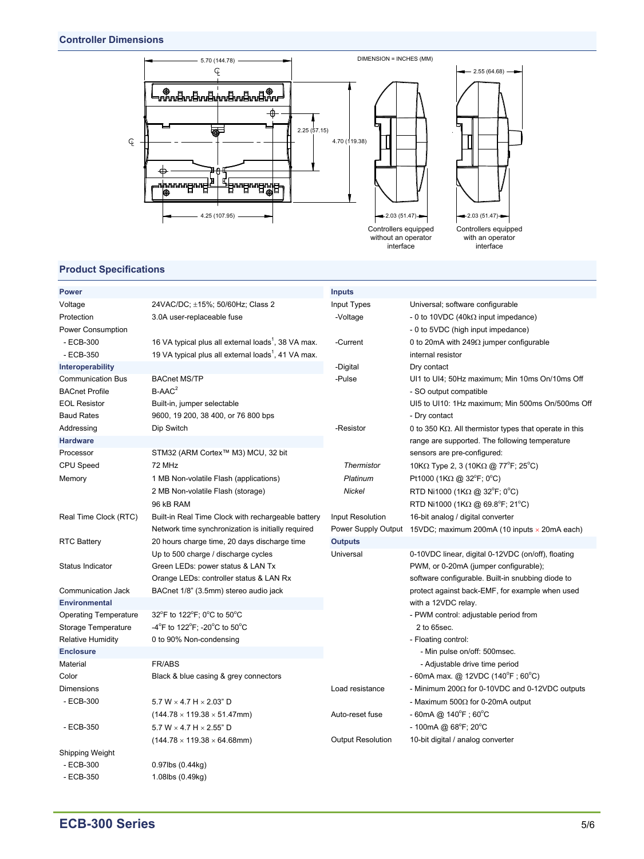

# **Product Specifications**

| <b>Power</b>                 |                                                                 | <b>Inputs</b>            |                                                                  |
|------------------------------|-----------------------------------------------------------------|--------------------------|------------------------------------------------------------------|
| Voltage                      | 24VAC/DC; ±15%; 50/60Hz; Class 2                                | Input Types              | Universal; software configurable                                 |
| Protection                   | 3.0A user-replaceable fuse                                      | -Voltage                 | - 0 to 10VDC (40k $\Omega$ input impedance)                      |
| Power Consumption            |                                                                 |                          | - 0 to 5VDC (high input impedance)                               |
| - ECB-300                    | 16 VA typical plus all external loads <sup>1</sup> , 38 VA max. | -Current                 | 0 to 20mA with 249 $\Omega$ jumper configurable                  |
| $-ECB-350$                   | 19 VA typical plus all external loads <sup>1</sup> , 41 VA max. |                          | internal resistor                                                |
| Interoperability             |                                                                 | -Digital                 | Dry contact                                                      |
| <b>Communication Bus</b>     | <b>BACnet MS/TP</b>                                             | -Pulse                   | UI1 to UI4; 50Hz maximum; Min 10ms On/10ms Off                   |
| <b>BACnet Profile</b>        | $B-AAC^2$                                                       |                          | - SO output compatible                                           |
| <b>EOL Resistor</b>          | Built-in, jumper selectable                                     |                          | UI5 to UI10: 1Hz maximum; Min 500ms On/500ms Off                 |
| <b>Baud Rates</b>            | 9600, 19 200, 38 400, or 76 800 bps                             |                          | - Dry contact                                                    |
| Addressing                   | Dip Switch                                                      | -Resistor                | 0 to 350 K $\Omega$ . All thermistor types that operate in this  |
| <b>Hardware</b>              |                                                                 |                          | range are supported. The following temperature                   |
| Processor                    | STM32 (ARM Cortex™ M3) MCU, 32 bit                              |                          | sensors are pre-configured:                                      |
| CPU Speed                    | 72 MHz                                                          | <b>Thermistor</b>        | 10KΩ Type 2, 3 (10KΩ @ 77 <sup>o</sup> F; 25 <sup>o</sup> C)     |
| Memory                       | 1 MB Non-volatile Flash (applications)                          | Platinum                 | Pt1000 (1K $\Omega$ @ 32°F; 0°C)                                 |
|                              | 2 MB Non-volatile Flash (storage)                               | Nickel                   | RTD Ni1000 (1K $\Omega$ @ 32°F; 0°C)                             |
|                              | 96 kB RAM                                                       |                          | RTD Ni1000 (1K $\Omega$ @ 69.8°F; 21°C)                          |
| Real Time Clock (RTC)        | Built-in Real Time Clock with rechargeable battery              | Input Resolution         | 16-bit analog / digital converter                                |
|                              | Network time synchronization is initially required              |                          | Power Supply Output 15VDC; maximum 200mA (10 inputs x 20mA each) |
| <b>RTC Battery</b>           | 20 hours charge time, 20 days discharge time                    | <b>Outputs</b>           |                                                                  |
|                              | Up to 500 charge / discharge cycles                             | Universal                | 0-10VDC linear, digital 0-12VDC (on/off), floating               |
| Status Indicator             | Green LEDs: power status & LAN Tx                               |                          | PWM, or 0-20mA (jumper configurable);                            |
|                              | Orange LEDs: controller status & LAN Rx                         |                          | software configurable. Built-in snubbing diode to                |
| Communication Jack           | BACnet 1/8" (3.5mm) stereo audio jack                           |                          | protect against back-EMF, for example when used                  |
| <b>Environmental</b>         |                                                                 |                          | with a 12VDC relay.                                              |
| <b>Operating Temperature</b> | 32°F to 122°F; 0°C to 50°C                                      |                          | - PWM control: adjustable period from                            |
| Storage Temperature          | -4°F to 122°F; -20°C to 50°C                                    |                          | 2 to 65sec.                                                      |
| <b>Relative Humidity</b>     | 0 to 90% Non-condensing                                         |                          | - Floating control:                                              |
| <b>Enclosure</b>             |                                                                 |                          | - Min pulse on/off: 500msec.                                     |
| Material                     | <b>FR/ABS</b>                                                   |                          | - Adjustable drive time period                                   |
| Color                        | Black & blue casing & grey connectors                           |                          | - 60mA max. @ 12VDC (140 <sup>o</sup> F; 60 <sup>o</sup> C)      |
| Dimensions                   |                                                                 | Load resistance          | - Minimum 200 $\Omega$ for 0-10VDC and 0-12VDC outputs           |
| - ECB-300                    | 5.7 W $\times$ 4.7 H $\times$ 2.03" D                           |                          | - Maximum 500 $\Omega$ for 0-20mA output                         |
|                              | $(144.78 \times 119.38 \times 51.47$ mm)                        | Auto-reset fuse          | $-60$ mA @ 140 $\degree$ F; 60 $\degree$ C                       |
| - ECB-350                    | 5.7 W $\times$ 4.7 H $\times$ 2.55" D                           |                          | $-100$ mA @ 68°F; 20°C                                           |
|                              | $(144.78 \times 119.38 \times 64.68$ mm)                        | <b>Output Resolution</b> | 10-bit digital / analog converter                                |
| Shipping Weight              |                                                                 |                          |                                                                  |
| - ECB-300                    | $0.97$ lbs $(0.44$ kg)                                          |                          |                                                                  |
| - ECB-350                    | 1.08lbs (0.49kg)                                                |                          |                                                                  |